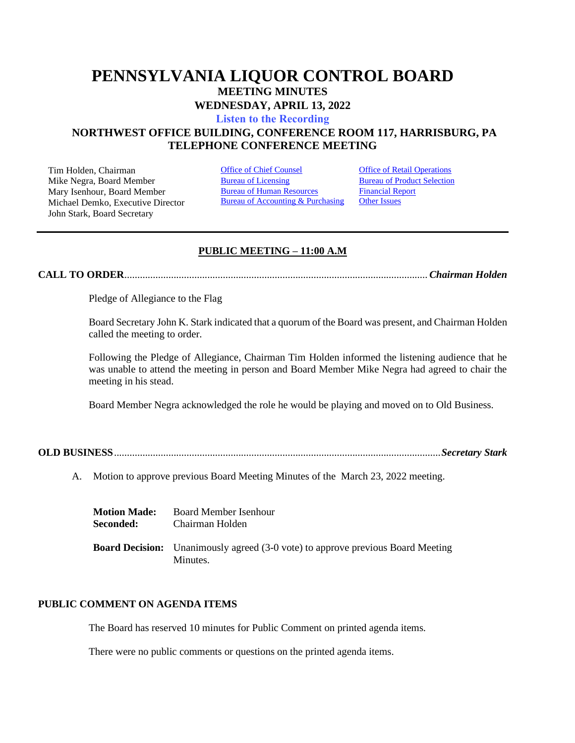# **PENNSYLVANIA LIQUOR CONTROL BOARD MEETING MINUTES WEDNESDAY, APRIL 13, 2022**

**[Listen to the Recording](https://youtu.be/g3Z1869CHq0)**

# **NORTHWEST OFFICE BUILDING, CONFERENCE ROOM 117, HARRISBURG, PA TELEPHONE CONFERENCE MEETING**

Tim Holden, Chairman **[Office of Chief Counsel](#page-1-0)** Office [of Retail Operations](#page-9-0)<br>
Mike Negra. Board Member **Bureau of Licensing** Bureau of Product Selection Mike Negra, Board Member Mary Isenhour, Board Member Michael Demko, Executive Director John Stark, Board Secretary

[Bureau of Human Resources](#page-7-0) Bureau of Accounting & Purchasing [Financial Report](#page-8-0) **[Other Issues](#page-18-0)** 

# **PUBLIC MEETING – 11:00 A.M**

**CALL TO ORDER**..................................................................................................................... *Chairman Holden*

Pledge of Allegiance to the Flag

Board Secretary John K. Stark indicated that a quorum of the Board was present, and Chairman Holden called the meeting to order.

Following the Pledge of Allegiance, Chairman Tim Holden informed the listening audience that he was unable to attend the meeting in person and Board Member Mike Negra had agreed to chair the meeting in his stead.

Board Member Negra acknowledged the role he would be playing and moved on to Old Business.

**OLD BUSINESS**..............................................................................................................................*Secretary Stark*

A. Motion to approve previous Board Meeting Minutes of the March 23, 2022 meeting.

| <b>Motion Made:</b> | <b>Board Member Isenhour</b>                                                                       |
|---------------------|----------------------------------------------------------------------------------------------------|
| Seconded:           | Chairman Holden                                                                                    |
|                     | <b>Board Decision:</b> Unanimously agreed (3-0 vote) to approve previous Board Meeting<br>Minutes. |

# **PUBLIC COMMENT ON AGENDA ITEMS**

The Board has reserved 10 minutes for Public Comment on printed agenda items.

There were no public comments or questions on the printed agenda items.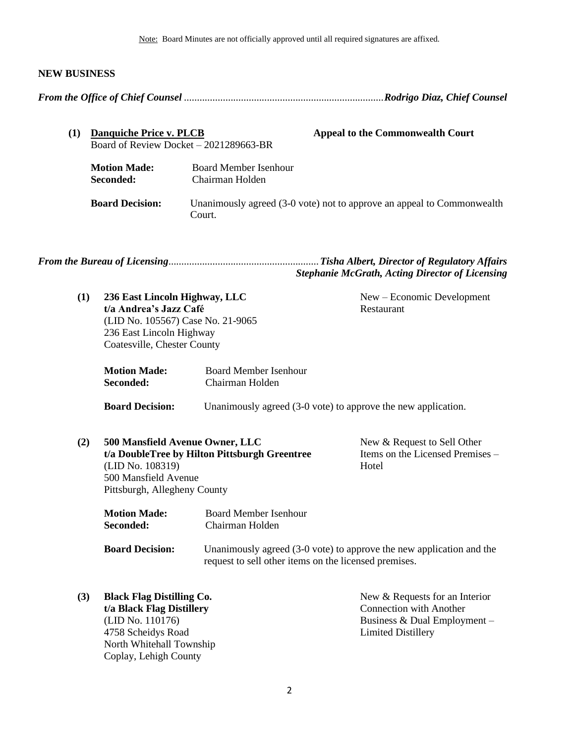Note: Board Minutes are not officially approved until all required signatures are affixed.

# **NEW BUSINESS**

<span id="page-1-0"></span>

| (1) | Danquiche Price v. PLCB<br>Board of Review Docket $-2021289663-BR$ | <b>Appeal to the Commonwealth Court</b>                                          |  |
|-----|--------------------------------------------------------------------|----------------------------------------------------------------------------------|--|
|     | <b>Motion Made:</b><br>Seconded:                                   | Board Member Isenhour<br>Chairman Holden                                         |  |
|     | <b>Board Decision:</b>                                             | Unanimously agreed (3-0 vote) not to approve an appeal to Commonwealth<br>Court. |  |

*From the Bureau of Licensing*..........................................................*Tisha Albert, Director of Regulatory Affairs Stephanie McGrath, Acting Director of Licensing*

<span id="page-1-1"></span>

| (1) | 236 East Lincoln Highway, LLC<br>t/a Andrea's Jazz Café<br>(LID No. 105567) Case No. 21-9065<br>236 East Lincoln Highway<br>Coatesville, Chester County |                                                 | New – Economic Development<br>Restaurant                                 |
|-----|---------------------------------------------------------------------------------------------------------------------------------------------------------|-------------------------------------------------|--------------------------------------------------------------------------|
|     | <b>Motion Made:</b><br>Seconded:                                                                                                                        | <b>Board Member Isenhour</b><br>Chairman Holden |                                                                          |
|     | <b>Board Decision:</b>                                                                                                                                  |                                                 | Unanimously agreed (3-0 vote) to approve the new application.            |
| (2) | 500 Mansfield Avenue Owner, LLC<br>(LID No. 108319)<br>500 Mansfield Avenue<br>Pittsburgh, Allegheny County                                             | t/a DoubleTree by Hilton Pittsburgh Greentree   | New & Request to Sell Other<br>Items on the Licensed Premises -<br>Hotel |
|     | <b>Motion Made:</b><br>Seconded:                                                                                                                        | <b>Board Member Isenhour</b><br>Chairman Holden |                                                                          |
|     | <b>Board Decision:</b><br>Unanimously agreed (3-0 vote) to approve the new application and the<br>request to sell other items on the licensed premises. |                                                 |                                                                          |
| (3) | <b>Black Flag Distilling Co.</b>                                                                                                                        |                                                 | New & Requests for an Interior                                           |

**t/a Black Flag Distillery** (LID No. 110176) 4758 Scheidys Road North Whitehall Township Coplay, Lehigh County

Connection with Another Business & Dual Employment – Limited Distillery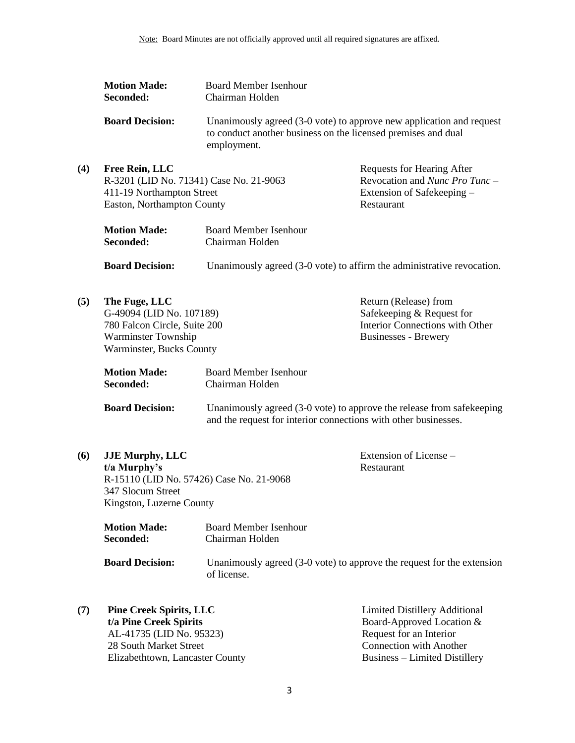| <b>Motion Made:</b>        | <b>Board Member Isenhour</b>                                                                                                                         |                                                                        |
|----------------------------|------------------------------------------------------------------------------------------------------------------------------------------------------|------------------------------------------------------------------------|
| Seconded:                  | Chairman Holden                                                                                                                                      |                                                                        |
| <b>Board Decision:</b>     | Unanimously agreed (3-0 vote) to approve new application and request<br>to conduct another business on the licensed premises and dual<br>employment. |                                                                        |
| Free Rein, LLC             |                                                                                                                                                      | <b>Requests for Hearing After</b>                                      |
|                            | R-3201 (LID No. 71341) Case No. 21-9063                                                                                                              | Revocation and <i>Nunc Pro Tunc</i> –                                  |
| 411-19 Northampton Street  |                                                                                                                                                      | Extension of Safekeeping –                                             |
| Easton, Northampton County |                                                                                                                                                      | Restaurant                                                             |
| <b>Motion Made:</b>        | <b>Board Member Isenhour</b>                                                                                                                         |                                                                        |
| Seconded:                  | Chairman Holden                                                                                                                                      |                                                                        |
| <b>Board Decision:</b>     |                                                                                                                                                      | Unanimously agreed (3-0 vote) to affirm the administrative revocation. |
| The Fuge, LLC              |                                                                                                                                                      | Return (Release) from                                                  |
| G-49094 (LID No. 107189)   |                                                                                                                                                      | Safekeeping & Request for                                              |

G-49094 (LID No. 107189) 780 Falcon Circle, Suite 200 Warminster Township Warminster, Bucks County

 $(4)$ 

 $(5)$ 

Safekeeping & Request for Safekeeping & Request for<br>Interior Connections with Other Businesses - Brewery

| <b>Motion Made:</b> | Board Member Isenhour |
|---------------------|-----------------------|
| Seconded:           | Chairman Holden       |

| <b>Board Decision:</b> | Unanimously agreed (3-0 vote) to approve the release from safekeeping |
|------------------------|-----------------------------------------------------------------------|
|                        | and the request for interior connections with other businesses.       |

**(6) JJE Murphy, LLC t/a Murphy's** R-15110 (LID No. 57426) Case No. 21-9068 347 Slocum Street Kingston, Luzerne County

Extension of License – Restaurant

| <b>Motion Made:</b>    | Board Member Isenhour                                                                    |
|------------------------|------------------------------------------------------------------------------------------|
| Seconded:              | Chairman Holden                                                                          |
| <b>Board Decision:</b> | Unanimously agreed $(3-0)$ vote) to approve the request for the extension<br>of license. |

**(7) Pine Creek Spirits, LLC t/a Pine Creek Spirits** AL-41735 (LID No. 95323) 28 South Market Street Elizabethtown, Lancaster County Limited Distillery Additional Board-Approved Location & Request for an Interior Connection with Another Business – Limited Distillery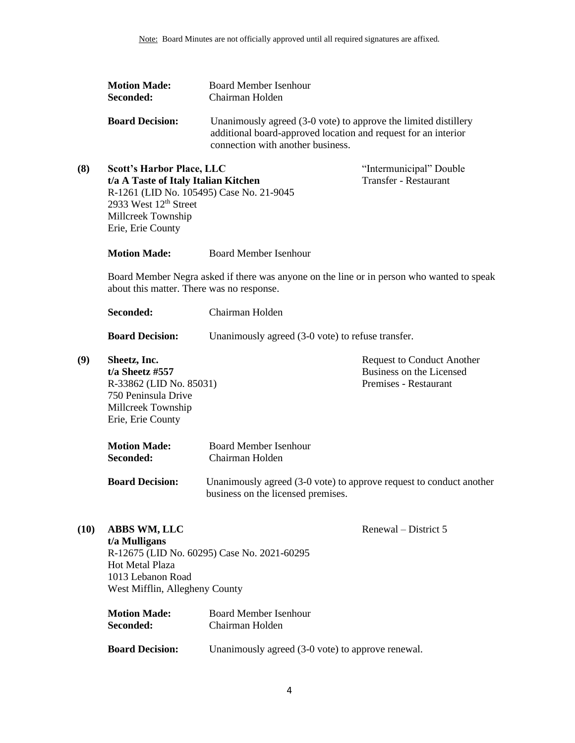|      | <b>Motion Made:</b><br>Seconded:                                                                                                                                                                     | <b>Board Member Isenhour</b><br>Chairman Holden                                                                                                                        |                                                                                        |
|------|------------------------------------------------------------------------------------------------------------------------------------------------------------------------------------------------------|------------------------------------------------------------------------------------------------------------------------------------------------------------------------|----------------------------------------------------------------------------------------|
|      | <b>Board Decision:</b>                                                                                                                                                                               | Unanimously agreed (3-0 vote) to approve the limited distillery<br>additional board-approved location and request for an interior<br>connection with another business. |                                                                                        |
| (8)  | <b>Scott's Harbor Place, LLC</b><br>t/a A Taste of Italy Italian Kitchen<br>R-1261 (LID No. 105495) Case No. 21-9045<br>2933 West 12 <sup>th</sup> Street<br>Millcreek Township<br>Erie, Erie County |                                                                                                                                                                        | "Intermunicipal" Double<br><b>Transfer - Restaurant</b>                                |
|      | <b>Motion Made:</b>                                                                                                                                                                                  | <b>Board Member Isenhour</b>                                                                                                                                           |                                                                                        |
|      | about this matter. There was no response.                                                                                                                                                            | Board Member Negra asked if there was anyone on the line or in person who wanted to speak                                                                              |                                                                                        |
|      | Seconded:                                                                                                                                                                                            | Chairman Holden                                                                                                                                                        |                                                                                        |
|      | <b>Board Decision:</b>                                                                                                                                                                               | Unanimously agreed (3-0 vote) to refuse transfer.                                                                                                                      |                                                                                        |
| (9)  | Sheetz, Inc.<br>$t/a$ Sheetz #557<br>R-33862 (LID No. 85031)<br>750 Peninsula Drive<br>Millcreek Township<br>Erie, Erie County                                                                       |                                                                                                                                                                        | <b>Request to Conduct Another</b><br>Business on the Licensed<br>Premises - Restaurant |
|      | <b>Motion Made:</b><br>Seconded:                                                                                                                                                                     | <b>Board Member Isenhour</b><br>Chairman Holden                                                                                                                        |                                                                                        |
|      | <b>Board Decision:</b>                                                                                                                                                                               | Unanimously agreed (3-0 vote) to approve request to conduct another<br>business on the licensed premises.                                                              |                                                                                        |
| (10) | <b>ABBS WM, LLC</b><br>t/a Mulligans<br><b>Hot Metal Plaza</b><br>1013 Lebanon Road<br>West Mifflin, Allegheny County                                                                                | R-12675 (LID No. 60295) Case No. 2021-60295                                                                                                                            | Renewal – District 5                                                                   |
|      | <b>Motion Made:</b><br>Seconded:                                                                                                                                                                     | <b>Board Member Isenhour</b><br>Chairman Holden                                                                                                                        |                                                                                        |
|      | <b>Board Decision:</b>                                                                                                                                                                               | Unanimously agreed (3-0 vote) to approve renewal.                                                                                                                      |                                                                                        |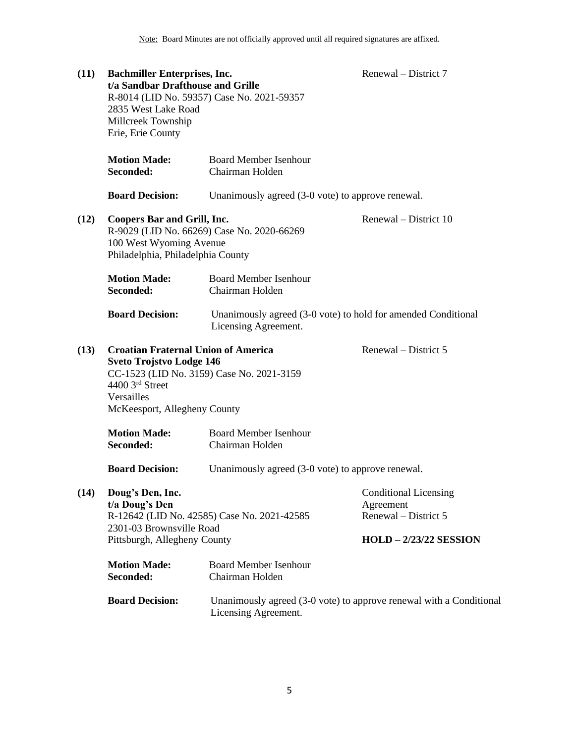| (11)                                                                                                                                                                                                | <b>Bachmiller Enterprises, Inc.</b><br>t/a Sandbar Drafthouse and Grille<br>2835 West Lake Road<br>Millcreek Township<br>Erie, Erie County | R-8014 (LID No. 59357) Case No. 2021-59357                                                  | Renewal – District 7                                              |
|-----------------------------------------------------------------------------------------------------------------------------------------------------------------------------------------------------|--------------------------------------------------------------------------------------------------------------------------------------------|---------------------------------------------------------------------------------------------|-------------------------------------------------------------------|
|                                                                                                                                                                                                     | <b>Motion Made:</b><br>Seconded:                                                                                                           | <b>Board Member Isenhour</b><br>Chairman Holden                                             |                                                                   |
|                                                                                                                                                                                                     | <b>Board Decision:</b>                                                                                                                     | Unanimously agreed (3-0 vote) to approve renewal.                                           |                                                                   |
| (12)                                                                                                                                                                                                | <b>Coopers Bar and Grill, Inc.</b><br>100 West Wyoming Avenue<br>Philadelphia, Philadelphia County                                         | R-9029 (LID No. 66269) Case No. 2020-66269                                                  | Renewal – District 10                                             |
|                                                                                                                                                                                                     | <b>Motion Made:</b><br>Seconded:                                                                                                           | <b>Board Member Isenhour</b><br>Chairman Holden                                             |                                                                   |
|                                                                                                                                                                                                     | <b>Board Decision:</b>                                                                                                                     | Unanimously agreed (3-0 vote) to hold for amended Conditional<br>Licensing Agreement.       |                                                                   |
| <b>Croatian Fraternal Union of America</b><br>(13)<br><b>Sveto Trojstvo Lodge 146</b><br>CC-1523 (LID No. 3159) Case No. 2021-3159<br>4400 3rd Street<br>Versailles<br>McKeesport, Allegheny County |                                                                                                                                            |                                                                                             | Renewal – District 5                                              |
|                                                                                                                                                                                                     | <b>Motion Made:</b><br>Seconded:                                                                                                           | <b>Board Member Isenhour</b><br>Chairman Holden                                             |                                                                   |
|                                                                                                                                                                                                     | <b>Board Decision:</b>                                                                                                                     | Unanimously agreed (3-0 vote) to approve renewal.                                           |                                                                   |
| (14)                                                                                                                                                                                                | Doug's Den, Inc.<br>t/a Doug's Den<br>2301-03 Brownsville Road                                                                             | R-12642 (LID No. 42585) Case No. 2021-42585                                                 | <b>Conditional Licensing</b><br>Agreement<br>Renewal – District 5 |
|                                                                                                                                                                                                     | Pittsburgh, Allegheny County                                                                                                               |                                                                                             | <b>HOLD - 2/23/22 SESSION</b>                                     |
|                                                                                                                                                                                                     | <b>Motion Made:</b><br>Seconded:                                                                                                           | <b>Board Member Isenhour</b><br>Chairman Holden                                             |                                                                   |
|                                                                                                                                                                                                     | <b>Board Decision:</b>                                                                                                                     | Unanimously agreed (3-0 vote) to approve renewal with a Conditional<br>Licensing Agreement. |                                                                   |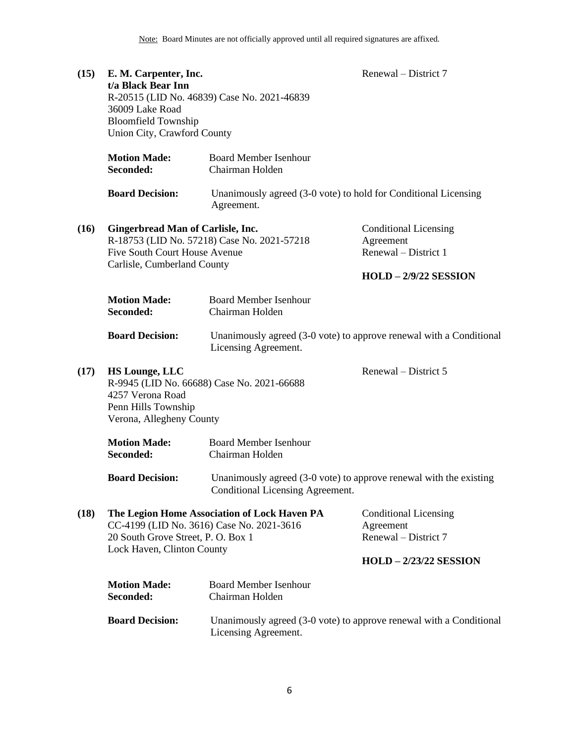| (15) | E. M. Carpenter, Inc.<br>t/a Black Bear Inn<br>36009 Lake Road<br><b>Bloomfield Township</b><br>Union City, Crawford County | R-20515 (LID No. 46839) Case No. 2021-46839                                                            | Renewal – District 7                                                                          |
|------|-----------------------------------------------------------------------------------------------------------------------------|--------------------------------------------------------------------------------------------------------|-----------------------------------------------------------------------------------------------|
|      | <b>Motion Made:</b><br>Seconded:                                                                                            | <b>Board Member Isenhour</b><br>Chairman Holden                                                        |                                                                                               |
|      | <b>Board Decision:</b>                                                                                                      | Unanimously agreed (3-0 vote) to hold for Conditional Licensing<br>Agreement.                          |                                                                                               |
| (16) | <b>Gingerbread Man of Carlisle, Inc.</b><br>Five South Court House Avenue<br>Carlisle, Cumberland County                    | R-18753 (LID No. 57218) Case No. 2021-57218                                                            | <b>Conditional Licensing</b><br>Agreement<br>Renewal – District 1<br>$HOLD - 2/9/22$ SESSION  |
|      | <b>Motion Made:</b><br>Seconded:                                                                                            | <b>Board Member Isenhour</b><br>Chairman Holden                                                        |                                                                                               |
|      | <b>Board Decision:</b>                                                                                                      | Unanimously agreed (3-0 vote) to approve renewal with a Conditional<br>Licensing Agreement.            |                                                                                               |
| (17) | <b>HS Lounge, LLC</b><br>4257 Verona Road<br>Penn Hills Township<br>Verona, Allegheny County                                | R-9945 (LID No. 66688) Case No. 2021-66688                                                             | Renewal – District 5                                                                          |
|      | <b>Motion Made:</b><br>Seconded:                                                                                            | <b>Board Member Isenhour</b><br>Chairman Holden                                                        |                                                                                               |
|      | <b>Board Decision:</b>                                                                                                      | Unanimously agreed (3-0 vote) to approve renewal with the existing<br>Conditional Licensing Agreement. |                                                                                               |
| (18) | CC-4199 (LID No. 3616) Case No. 2021-3616<br>20 South Grove Street, P. O. Box 1<br>Lock Haven, Clinton County               | The Legion Home Association of Lock Haven PA                                                           | <b>Conditional Licensing</b><br>Agreement<br>Renewal - District 7<br>$HOLD - 2/23/22$ SESSION |
|      | <b>Motion Made:</b><br>Seconded:                                                                                            | <b>Board Member Isenhour</b><br>Chairman Holden                                                        |                                                                                               |
|      | <b>Board Decision:</b>                                                                                                      | Unanimously agreed (3-0 vote) to approve renewal with a Conditional<br>Licensing Agreement.            |                                                                                               |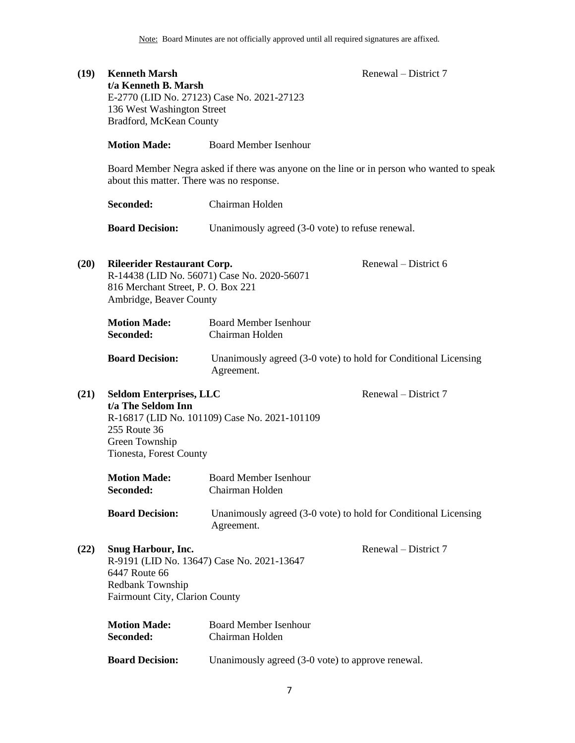| (19) | <b>Kenneth Marsh</b><br>t/a Kenneth B. Marsh<br>136 West Washington Street<br>Bradford, McKean County                                  | E-2770 (LID No. 27123) Case No. 2021-27123                                    | Renewal – District 7 |
|------|----------------------------------------------------------------------------------------------------------------------------------------|-------------------------------------------------------------------------------|----------------------|
|      | <b>Motion Made:</b>                                                                                                                    | <b>Board Member Isenhour</b>                                                  |                      |
|      | Board Member Negra asked if there was anyone on the line or in person who wanted to speak<br>about this matter. There was no response. |                                                                               |                      |
|      | Seconded:                                                                                                                              | Chairman Holden                                                               |                      |
|      | <b>Board Decision:</b>                                                                                                                 | Unanimously agreed (3-0 vote) to refuse renewal.                              |                      |
| (20) | <b>Rileerider Restaurant Corp.</b><br>816 Merchant Street, P. O. Box 221<br>Ambridge, Beaver County                                    | R-14438 (LID No. 56071) Case No. 2020-56071                                   | Renewal – District 6 |
|      | <b>Motion Made:</b><br>Seconded:                                                                                                       | <b>Board Member Isenhour</b><br>Chairman Holden                               |                      |
|      | <b>Board Decision:</b>                                                                                                                 | Unanimously agreed (3-0 vote) to hold for Conditional Licensing<br>Agreement. |                      |
| (21) | <b>Seldom Enterprises, LLC</b><br>t/a The Seldom Inn<br>255 Route 36<br>Green Township<br>Tionesta, Forest County                      | R-16817 (LID No. 101109) Case No. 2021-101109                                 | Renewal – District 7 |
|      | <b>Motion Made:</b><br>Seconded:                                                                                                       | <b>Board Member Isenhour</b><br>Chairman Holden                               |                      |
|      | <b>Board Decision:</b>                                                                                                                 | Unanimously agreed (3-0 vote) to hold for Conditional Licensing<br>Agreement. |                      |
| (22) | <b>Snug Harbour, Inc.</b><br>6447 Route 66<br>Redbank Township<br>Fairmount City, Clarion County                                       | R-9191 (LID No. 13647) Case No. 2021-13647                                    | Renewal – District 7 |
|      | <b>Motion Made:</b><br>Seconded:                                                                                                       | <b>Board Member Isenhour</b><br>Chairman Holden                               |                      |
|      | <b>Board Decision:</b>                                                                                                                 | Unanimously agreed (3-0 vote) to approve renewal.                             |                      |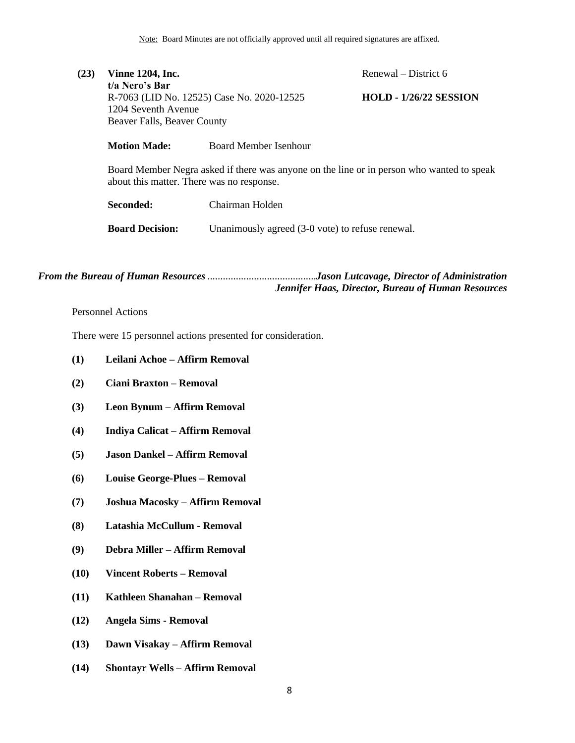| (23) | <b>Vinne 1204, Inc.</b>                                                                                                                |                       | Renewal – District $6$        |  |  |
|------|----------------------------------------------------------------------------------------------------------------------------------------|-----------------------|-------------------------------|--|--|
|      | t/a Nero's Bar                                                                                                                         |                       |                               |  |  |
|      | R-7063 (LID No. 12525) Case No. 2020-12525                                                                                             |                       | <b>HOLD - 1/26/22 SESSION</b> |  |  |
|      | 1204 Seventh Avenue                                                                                                                    |                       |                               |  |  |
|      | Beaver Falls, Beaver County                                                                                                            |                       |                               |  |  |
|      | <b>Motion Made:</b>                                                                                                                    | Board Member Isenhour |                               |  |  |
|      | Board Member Negra asked if there was anyone on the line or in person who wanted to speak<br>about this matter. There was no response. |                       |                               |  |  |
|      |                                                                                                                                        |                       |                               |  |  |

**Seconded:** Chairman Holden **Board Decision:** Unanimously agreed (3-0 vote) to refuse renewal.

*From the Bureau of Human Resources*..........................................*Jason Lutcavage, Director of Administration Jennifer Haas, Director, Bureau of Human Resources*

## <span id="page-7-0"></span>Personnel Actions

There were 15 personnel actions presented for consideration.

- **(1) Leilani Achoe – Affirm Removal**
- **(2) Ciani Braxton – Removal**
- **(3) Leon Bynum – Affirm Removal**
- **(4) Indiya Calicat – Affirm Removal**
- **(5) Jason Dankel – Affirm Removal**
- **(6) Louise George-Plues – Removal**
- **(7) Joshua Macosky – Affirm Removal**
- **(8) Latashia McCullum - Removal**
- **(9) Debra Miller – Affirm Removal**
- **(10) Vincent Roberts – Removal**
- **(11) Kathleen Shanahan – Removal**
- **(12) Angela Sims - Removal**
- **(13) Dawn Visakay – Affirm Removal**
- **(14) Shontayr Wells – Affirm Removal**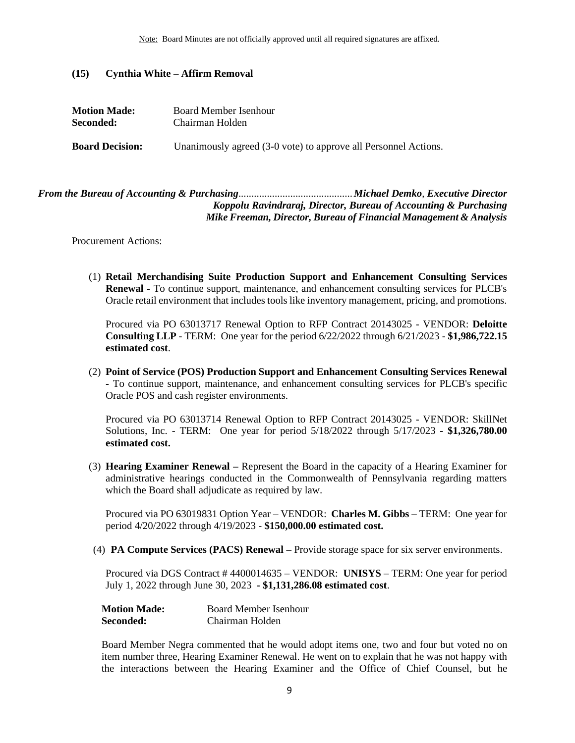### **(15) Cynthia White – Affirm Removal**

| <b>Motion Made:</b>    | Board Member Isenhour                                           |  |  |
|------------------------|-----------------------------------------------------------------|--|--|
| Seconded:              | Chairman Holden                                                 |  |  |
| <b>Board Decision:</b> | Unanimously agreed (3-0 vote) to approve all Personnel Actions. |  |  |

# <span id="page-8-0"></span>*From the Bureau of Accounting & Purchasing*............................................*Michael Demko*, *Executive Director Koppolu Ravindraraj, Director, Bureau of Accounting & Purchasing Mike Freeman, Director, Bureau of Financial Management & Analysis*

Procurement Actions:

(1) **Retail Merchandising Suite Production Support and Enhancement Consulting Services Renewal -** To continue support, maintenance, and enhancement consulting services for PLCB's Oracle retail environment that includes tools like inventory management, pricing, and promotions.

Procured via PO 63013717 Renewal Option to RFP Contract 20143025 - VENDOR: **Deloitte Consulting LLP** - TERM: One year for the period 6/22/2022 through 6/21/2023 - **\$1,986,722.15 estimated cost**.

(2) **Point of Service (POS) Production Support and Enhancement Consulting Services Renewal -** To continue support, maintenance, and enhancement consulting services for PLCB's specific Oracle POS and cash register environments.

Procured via PO 63013714 Renewal Option to RFP Contract 20143025 - VENDOR: SkillNet Solutions, Inc. - TERM: One year for period 5/18/2022 through 5/17/2023 **- \$1,326,780.00 estimated cost.**

(3) **Hearing Examiner Renewal –** Represent the Board in the capacity of a Hearing Examiner for administrative hearings conducted in the Commonwealth of Pennsylvania regarding matters which the Board shall adjudicate as required by law.

Procured via PO 63019831 Option Year – VENDOR: **Charles M. Gibbs –** TERM: One year for period 4/20/2022 through 4/19/2023 - **\$150,000.00 estimated cost.**

(4) **PA Compute Services (PACS) Renewal –** Provide storage space for six server environments.

Procured via DGS Contract # 4400014635 – VENDOR: **UNISYS** – TERM: One year for period July 1, 2022 through June 30, 2023 **- \$1,131,286.08 estimated cost**.

| <b>Motion Made:</b> | Board Member Isenhour |
|---------------------|-----------------------|
| Seconded:           | Chairman Holden       |

Board Member Negra commented that he would adopt items one, two and four but voted no on item number three, Hearing Examiner Renewal. He went on to explain that he was not happy with the interactions between the Hearing Examiner and the Office of Chief Counsel, but he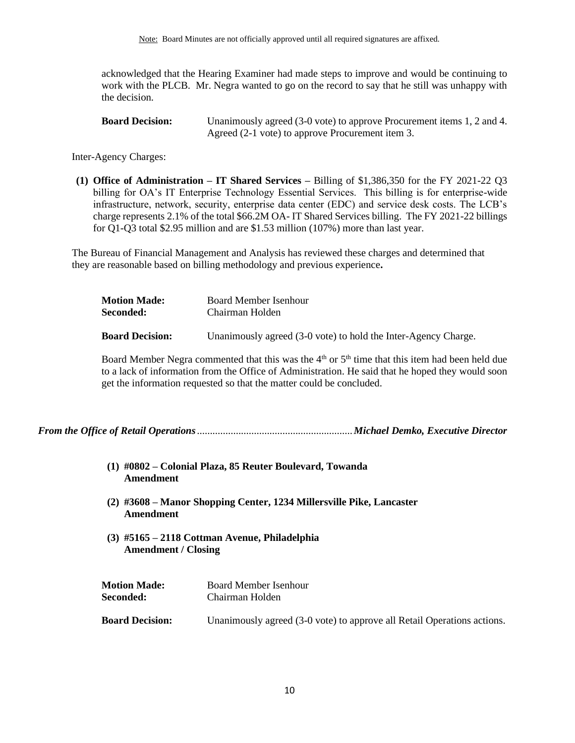acknowledged that the Hearing Examiner had made steps to improve and would be continuing to work with the PLCB. Mr. Negra wanted to go on the record to say that he still was unhappy with the decision.

| <b>Board Decision:</b> | Unanimously agreed (3-0 vote) to approve Procurement items 1, 2 and 4. |
|------------------------|------------------------------------------------------------------------|
|                        | Agreed (2-1 vote) to approve Procurement item 3.                       |

Inter-Agency Charges:

**(1) Office of Administration – IT Shared Services –** Billing of \$1,386,350 for the FY 2021-22 Q3 billing for OA's IT Enterprise Technology Essential Services. This billing is for enterprise-wide infrastructure, network, security, enterprise data center (EDC) and service desk costs. The LCB's charge represents 2.1% of the total \$66.2M OA- IT Shared Services billing. The FY 2021-22 billings for Q1-Q3 total \$2.95 million and are \$1.53 million (107%) more than last year.

The Bureau of Financial Management and Analysis has reviewed these charges and determined that they are reasonable based on billing methodology and previous experience**.**

| <b>Motion Made:</b>    | Board Member Isenhour                                          |  |  |
|------------------------|----------------------------------------------------------------|--|--|
| <b>Seconded:</b>       | Chairman Holden                                                |  |  |
|                        |                                                                |  |  |
| <b>Board Decision:</b> | Unanimously agreed (3-0 vote) to hold the Inter-Agency Charge. |  |  |

Board Member Negra commented that this was the  $4<sup>th</sup>$  or  $5<sup>th</sup>$  time that this item had been held due to a lack of information from the Office of Administration. He said that he hoped they would soon get the information requested so that the matter could be concluded.

<span id="page-9-0"></span>*From the Office of Retail Operations*............................................................*Michael Demko, Executive Director*

- **(1) #0802 – Colonial Plaza, 85 Reuter Boulevard, Towanda Amendment**
- **(2) #3608 – Manor Shopping Center, 1234 Millersville Pike, Lancaster Amendment**
- **(3) #5165 – 2118 Cottman Avenue, Philadelphia Amendment / Closing**

| <b>Motion Made:</b>    | Board Member Isenhour                                                   |
|------------------------|-------------------------------------------------------------------------|
| <b>Seconded:</b>       | Chairman Holden                                                         |
|                        |                                                                         |
| <b>Board Decision:</b> | Unanimously agreed (3-0 vote) to approve all Retail Operations actions. |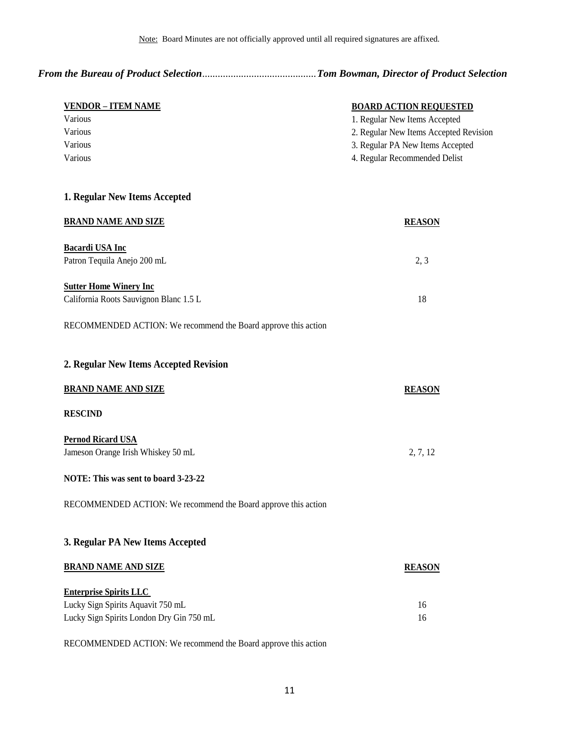2. Regular New Items Accepted Revision

*From the Bureau of Product Selection*............................................*Tom Bowman, Director of Product Selection*

| VENDOR – ITEM NAME | <b>BOARD ACTION REOUESTED</b>     |  |  |
|--------------------|-----------------------------------|--|--|
| Various            | 1. Regular New Items Accepted     |  |  |
| Various            | 2. Regular New Items Accepted Rev |  |  |
| Various            | 3. Regular PA New Items Accepted  |  |  |

Various 4. Regular Recommended Delist

### **1. Regular New Items Accepted**

| <b>BRAND NAME AND SIZE</b>             | <b>REASON</b> |
|----------------------------------------|---------------|
| Bacardi USA Inc                        |               |
| Patron Tequila Anejo 200 mL            | 2.3           |
| <b>Sutter Home Winery Inc.</b>         |               |
| California Roots Sauvignon Blanc 1.5 L | 18            |

RECOMMENDED ACTION: We recommend the Board approve this action

| 2. Regular New Items Accepted Revision                         |               |
|----------------------------------------------------------------|---------------|
| <b>BRAND NAME AND SIZE</b>                                     | <b>REASON</b> |
| <b>RESCIND</b>                                                 |               |
| <b>Pernod Ricard USA</b>                                       |               |
| Jameson Orange Irish Whiskey 50 mL                             | 2, 7, 12      |
| NOTE: This was sent to board 3-23-22                           |               |
| RECOMMENDED ACTION: We recommend the Board approve this action |               |
| 3. Regular PA New Items Accepted                               |               |
| <b>BRAND NAME AND SIZE</b>                                     | <b>REASON</b> |
| <b>Enterprise Spirits LLC</b>                                  |               |
| Lucky Sign Spirits Aquavit 750 mL                              | 16            |
| Lucky Sign Spirits London Dry Gin 750 mL                       | 16            |

RECOMMENDED ACTION: We recommend the Board approve this action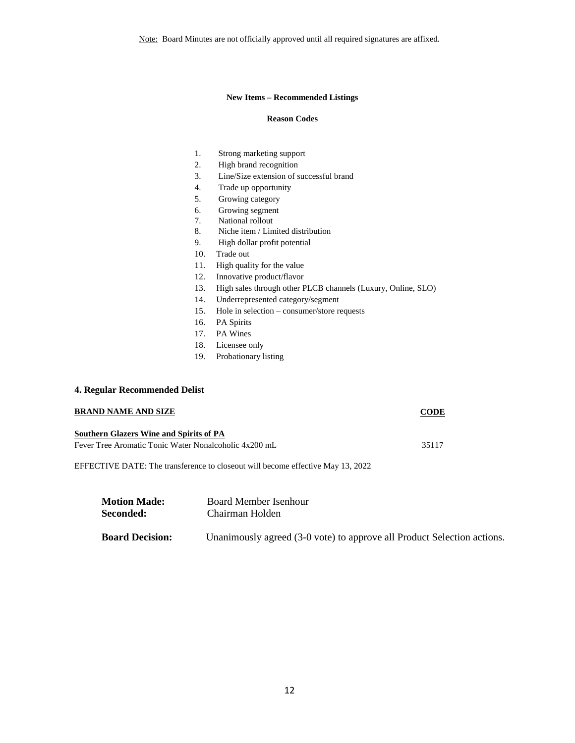Note: Board Minutes are not officially approved until all required signatures are affixed.

### **New Items – Recommended Listings**

### **Reason Codes**

- 1. Strong marketing support
- 2. High brand recognition
- 3. Line/Size extension of successful brand
- 4. Trade up opportunity
- 5. Growing category
- 6. Growing segment
- 7. National rollout
- 8. Niche item / Limited distribution
- 9. High dollar profit potential
- 10. Trade out
- 11. High quality for the value
- 12. Innovative product/flavor
- 13. High sales through other PLCB channels (Luxury, Online, SLO)
- 14. Underrepresented category/segment
- 15. Hole in selection consumer/store requests
- 16. PA Spirits
- 17. PA Wines
- 18. Licensee only
- 19. Probationary listing

### **4. Regular Recommended Delist**

| <b>BRAND NAME AND SIZE</b>                                                       | <b>CODE</b> |
|----------------------------------------------------------------------------------|-------------|
| <b>Southern Glazers Wine and Spirits of PA</b>                                   |             |
| Fever Tree Aromatic Tonic Water Nonalcoholic 4x200 mL                            | 35117       |
| EFFECTIVE DATE: The transference to close out will become effective May 13, 2022 |             |

| <b>Motion Made:</b>    | Board Member Isenhour                                                   |
|------------------------|-------------------------------------------------------------------------|
| Seconded:              | Chairman Holden                                                         |
| <b>Board Decision:</b> | Unanimously agreed (3-0 vote) to approve all Product Selection actions. |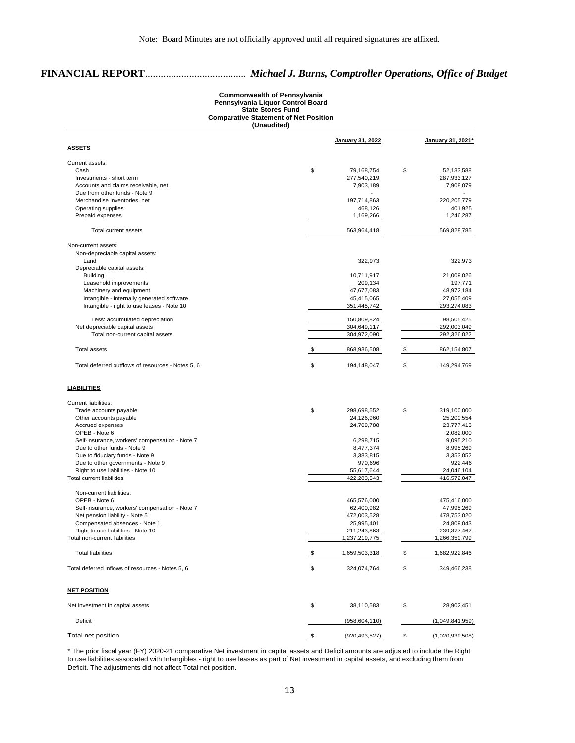# **FINANCIAL REPORT**....................................... *Michael J. Burns, Comptroller Operations, Office of Budget*

### **Commonwealth of Pennsylvania Pennsylvania Liquor Control Board State Stores Fund Comparative Statement of Net Position (Unaudited)**

|                                                   | January 31, 2022      | January 31, 2021*     |
|---------------------------------------------------|-----------------------|-----------------------|
| <b>ASSETS</b>                                     |                       |                       |
| Current assets:                                   |                       |                       |
| Cash                                              | \$<br>79,168,754      | \$<br>52,133,588      |
| Investments - short term                          | 277,540,219           | 287,933,127           |
| Accounts and claims receivable, net               | 7,903,189             | 7,908,079             |
| Due from other funds - Note 9                     | $\blacksquare$        |                       |
| Merchandise inventories, net                      | 197,714,863           | 220,205,779           |
| Operating supplies                                | 468,126               | 401,925               |
| Prepaid expenses                                  | 1,169,266             | 1,246,287             |
| Total current assets                              | 563,964,418           | 569,828,785           |
| Non-current assets:                               |                       |                       |
| Non-depreciable capital assets:                   |                       |                       |
| Land                                              | 322,973               | 322,973               |
| Depreciable capital assets:                       |                       |                       |
| <b>Building</b>                                   | 10,711,917            | 21,009,026            |
| Leasehold improvements                            | 209,134               | 197,771               |
| Machinery and equipment                           | 47,677,083            | 48,972,184            |
| Intangible - internally generated software        | 45,415,065            | 27,055,409            |
| Intangible - right to use leases - Note 10        | 351,445,742           | 293,274,083           |
| Less: accumulated depreciation                    | 150,809,824           | 98,505,425            |
| Net depreciable capital assets                    | 304,649,117           | 292,003,049           |
| Total non-current capital assets                  | 304,972,090           | 292,326,022           |
|                                                   |                       |                       |
| <b>Total assets</b>                               | \$<br>868,936,508     | \$<br>862,154,807     |
| Total deferred outflows of resources - Notes 5, 6 | \$<br>194,148,047     | \$<br>149,294,769     |
| <b>LIABILITIES</b>                                |                       |                       |
| <b>Current liabilities:</b>                       |                       |                       |
|                                                   | \$                    |                       |
| Trade accounts payable                            | 298,698,552           | \$<br>319,100,000     |
| Other accounts payable                            | 24,126,960            | 25,200,554            |
| Accrued expenses                                  | 24,709,788            | 23,777,413            |
| OPEB - Note 6                                     |                       | 2,082,000             |
| Self-insurance, workers' compensation - Note 7    | 6,298,715             | 9,095,210             |
| Due to other funds - Note 9                       | 8,477,374             | 8,995,269             |
| Due to fiduciary funds - Note 9                   | 3,383,815             | 3,353,052             |
| Due to other governments - Note 9                 | 970,696               | 922,446               |
| Right to use liabilities - Note 10                | 55,617,644            | 24,046,104            |
| Total current liabilities                         | 422,283,543           | 416,572,047           |
| Non-current liabilities:                          |                       |                       |
| OPEB - Note 6                                     | 465,576,000           | 475,416,000           |
| Self-insurance, workers' compensation - Note 7    | 62,400,982            | 47,995,269            |
| Net pension liability - Note 5                    | 472,003,528           | 478,753,020           |
| Compensated absences - Note 1                     | 25,995,401            | 24,809,043            |
| Right to use liabilities - Note 10                | 211,243,863           | 239,377,467           |
| Total non-current liabilities                     | 1,237,219,775         | 1,266,350,799         |
| <b>Total liabilities</b>                          | \$<br>1.659.503.318   | \$<br>1.682.922.846   |
|                                                   |                       |                       |
| Total deferred inflows of resources - Notes 5, 6  | \$<br>324,074,764     | \$<br>349,466,238     |
| <b>NET POSITION</b>                               |                       |                       |
| Net investment in capital assets                  | \$<br>38,110,583      | \$<br>28,902,451      |
| Deficit                                           | (958, 604, 110)       | (1,049,841,959)       |
| Total net position                                | \$<br>(920, 493, 527) | \$<br>(1,020,939,508) |

\* The prior fiscal year (FY) 2020-21 comparative Net investment in capital assets and Deficit amounts are adjusted to include the Right to use liabilities associated with Intangibles - right to use leases as part of Net investment in capital assets, and excluding them from Deficit. The adjustments did not affect Total net position.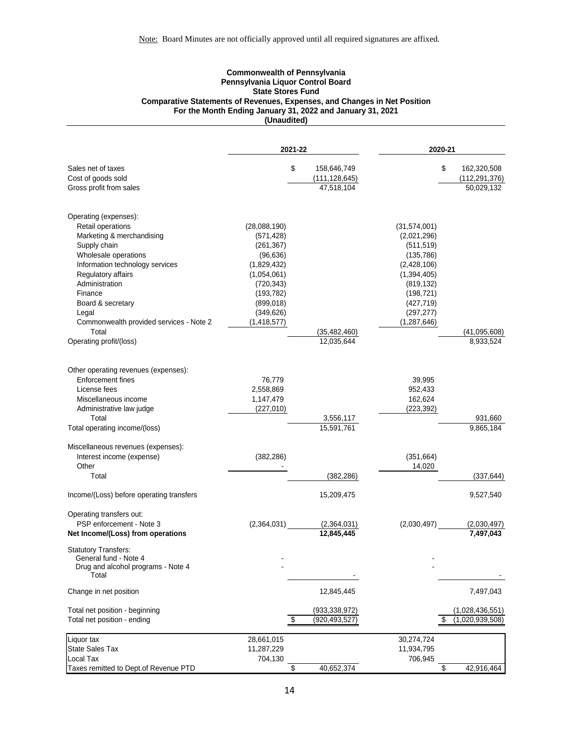### **Commonwealth of Pennsylvania Pennsylvania Liquor Control Board State Stores Fund Comparative Statements of Revenues, Expenses, and Changes in Net Position For the Month Ending January 31, 2022 and January 31, 2021 (Unaudited)**

|                                             | 2021-22                 |                         | 2020-21                  |                      |
|---------------------------------------------|-------------------------|-------------------------|--------------------------|----------------------|
| Sales net of taxes                          | \$                      | 158,646,749             | \$                       | 162,320,508          |
| Cost of goods sold                          |                         | (111, 128, 645)         |                          | (112, 291, 376)      |
| Gross profit from sales                     |                         | 47,518,104              |                          | 50,029,132           |
| Operating (expenses):                       |                         |                         |                          |                      |
| Retail operations                           | (28,088,190)            |                         | (31,574,001)             |                      |
| Marketing & merchandising                   | (571, 428)              |                         | (2,021,296)              |                      |
| Supply chain<br>Wholesale operations        | (261, 367)<br>(96, 636) |                         | (511, 519)<br>(135, 786) |                      |
| Information technology services             | (1,829,432)             |                         | (2,428,106)              |                      |
| Regulatory affairs                          | (1,054,061)             |                         | (1,394,405)              |                      |
| Administration                              | (720, 343)              |                         | (819, 132)               |                      |
| Finance                                     | (193, 782)              |                         | (198, 721)               |                      |
| Board & secretary                           | (899, 018)              |                         | (427, 719)               |                      |
| Legal                                       | (349, 626)              |                         | (297, 277)               |                      |
| Commonwealth provided services - Note 2     | (1, 418, 577)           |                         | (1, 287, 646)            |                      |
| Total                                       |                         | (35, 482, 460)          |                          | (41,095,608)         |
| Operating profit/(loss)                     |                         | 12,035,644              |                          | 8,933,524            |
|                                             |                         |                         |                          |                      |
| Other operating revenues (expenses):        |                         |                         |                          |                      |
| Enforcement fines                           | 76,779                  |                         | 39,995                   |                      |
| License fees                                | 2,558,869               |                         | 952,433                  |                      |
| Miscellaneous income                        | 1,147,479               |                         | 162,624                  |                      |
| Administrative law judge                    | (227, 010)              |                         | (223, 392)               |                      |
| Total<br>Total operating income/(loss)      |                         | 3,556,117<br>15,591,761 |                          | 931,660<br>9,865,184 |
|                                             |                         |                         |                          |                      |
| Miscellaneous revenues (expenses):          |                         |                         |                          |                      |
| Interest income (expense)                   | (382, 286)              |                         | (351, 664)               |                      |
| Other                                       |                         |                         | 14,020                   |                      |
| Total                                       |                         | (382, 286)              |                          | (337, 644)           |
| Income/(Loss) before operating transfers    |                         | 15,209,475              |                          | 9,527,540            |
| Operating transfers out:                    |                         |                         |                          |                      |
| PSP enforcement - Note 3                    | (2,364,031)             | (2,364,031)             | (2,030,497)              | (2,030,497)          |
| Net Income/(Loss) from operations           |                         | 12,845,445              |                          | 7,497,043            |
| <b>Statutory Transfers:</b>                 |                         |                         |                          |                      |
| General fund - Note 4                       |                         |                         |                          |                      |
| Drug and alcohol programs - Note 4<br>Total |                         |                         |                          |                      |
| Change in net position                      |                         | 12,845,445              |                          | 7,497,043            |
| Total net position - beginning              |                         | (933, 338, 972)         |                          | (1,028,436,551)      |
| Total net position - ending                 | \$                      | (920, 493, 527)         |                          | (1,020,939,508)      |
|                                             |                         |                         |                          |                      |
| Liquor tax                                  | 28,661,015              |                         | 30,274,724               |                      |
| <b>State Sales Tax</b><br>Local Tax         | 11,287,229              |                         | 11,934,795               |                      |
| Taxes remitted to Dept.of Revenue PTD       | 704,130<br>\$           | 40,652,374              | 706,945<br>\$            | 42,916,464           |
|                                             |                         |                         |                          |                      |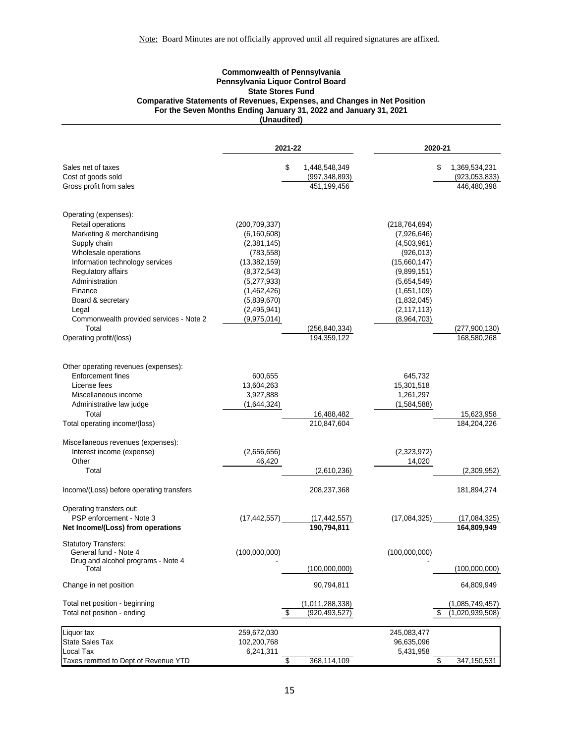### **Commonwealth of Pennsylvania Pennsylvania Liquor Control Board State Stores Fund Comparative Statements of Revenues, Expenses, and Changes in Net Position For the Seven Months Ending January 31, 2022 and January 31, 2021 (Unaudited)**

|                                                      |                 | 2021-22 |                               |                 | 2020-21 |                             |
|------------------------------------------------------|-----------------|---------|-------------------------------|-----------------|---------|-----------------------------|
| Sales net of taxes                                   |                 | \$      | 1,448,548,349                 |                 | \$      | 1,369,534,231               |
| Cost of goods sold                                   |                 |         | (997, 348, 893)               |                 |         | (923, 053, 833)             |
| Gross profit from sales                              |                 |         | 451,199,456                   |                 |         | 446,480,398                 |
| Operating (expenses):                                |                 |         |                               |                 |         |                             |
| Retail operations                                    | (200, 709, 337) |         |                               | (218, 764, 694) |         |                             |
| Marketing & merchandising                            | (6, 160, 608)   |         |                               | (7,926,646)     |         |                             |
| Supply chain                                         | (2,381,145)     |         |                               | (4,503,961)     |         |                             |
| Wholesale operations                                 | (783, 558)      |         |                               | (926, 013)      |         |                             |
| Information technology services                      | (13, 382, 159)  |         |                               | (15,660,147)    |         |                             |
| Regulatory affairs                                   | (8,372,543)     |         |                               | (9,899,151)     |         |                             |
| Administration                                       | (5,277,933)     |         |                               | (5,654,549)     |         |                             |
| Finance                                              | (1,462,426)     |         |                               | (1,651,109)     |         |                             |
| Board & secretary                                    | (5,839,670)     |         |                               | (1,832,045)     |         |                             |
| Legal                                                | (2,495,941)     |         |                               | (2, 117, 113)   |         |                             |
| Commonwealth provided services - Note 2<br>Total     | (9,975,014)     |         | (256, 840, 334)               | (8,964,703)     |         | (277,900,130)               |
| Operating profit/(loss)                              |                 |         | 194.359.122                   |                 |         | 168,580,268                 |
|                                                      |                 |         |                               |                 |         |                             |
| Other operating revenues (expenses):                 |                 |         |                               |                 |         |                             |
| <b>Enforcement fines</b>                             | 600,655         |         |                               | 645,732         |         |                             |
| License fees                                         | 13,604,263      |         |                               | 15,301,518      |         |                             |
| Miscellaneous income                                 | 3,927,888       |         |                               | 1,261,297       |         |                             |
| Administrative law judge                             | (1,644,324)     |         |                               | (1,584,588)     |         |                             |
| Total                                                |                 |         | 16,488,482                    |                 |         | 15,623,958                  |
| Total operating income/(loss)                        |                 |         | 210,847,604                   |                 |         | 184,204,226                 |
| Miscellaneous revenues (expenses):                   |                 |         |                               |                 |         |                             |
| Interest income (expense)                            | (2,656,656)     |         |                               | (2,323,972)     |         |                             |
| Other                                                | 46,420          |         |                               | 14,020          |         |                             |
| Total                                                |                 |         | (2,610,236)                   |                 |         | (2,309,952)                 |
| Income/(Loss) before operating transfers             |                 |         | 208,237,368                   |                 |         | 181,894,274                 |
| Operating transfers out:<br>PSP enforcement - Note 3 |                 |         |                               |                 |         |                             |
| Net Income/(Loss) from operations                    | (17, 442, 557)  |         | (17, 442, 557)<br>190,794,811 | (17,084,325)    |         | (17,084,325)<br>164,809,949 |
| <b>Statutory Transfers:</b>                          |                 |         |                               |                 |         |                             |
| General fund - Note 4                                | (100,000,000)   |         |                               | (100,000,000)   |         |                             |
| Drug and alcohol programs - Note 4<br>Total          |                 |         | (100,000,000)                 |                 |         | (100,000,000)               |
| Change in net position                               |                 |         | 90,794,811                    |                 |         | 64,809,949                  |
| Total net position - beginning                       |                 |         | (1,011,288,338)               |                 |         | (1,085,749,457)             |
| Total net position - ending                          |                 | \$      | (920, 493, 527)               |                 | S       | (1,020,939,508)             |
| Liquor tax                                           | 259,672,030     |         |                               | 245,083,477     |         |                             |
| <b>State Sales Tax</b>                               | 102,200,768     |         |                               | 96,635,096      |         |                             |
| <b>Local Tax</b>                                     | 6,241,311       |         |                               | 5,431,958       |         |                             |
| Taxes remitted to Dept.of Revenue YTD                |                 | \$      | 368,114,109                   |                 | \$      | 347,150,531                 |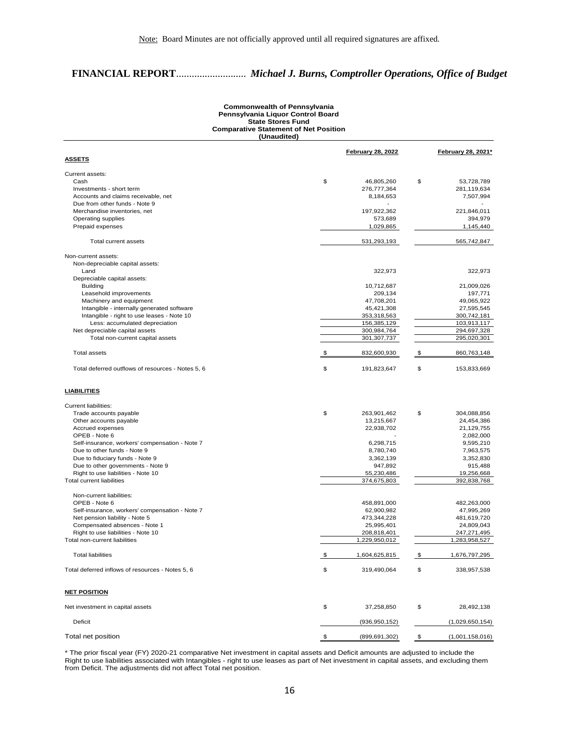# **FINANCIAL REPORT**........................... *Michael J. Burns, Comptroller Operations, Office of Budget*

### **Commonwealth of Pennsylvania Pennsylvania Liquor Control Board State Stores Fund Comparative Statement of Net Position (Unaudited)**

|                                                   | <b>February 28, 2022</b> | February 28, 2021* |                 |  |
|---------------------------------------------------|--------------------------|--------------------|-----------------|--|
| <u>ASSETS</u>                                     |                          |                    |                 |  |
| Current assets:                                   |                          |                    |                 |  |
| Cash                                              | \$<br>46,805,260         | \$                 | 53,728,789      |  |
| Investments - short term                          | 276,777,364              |                    | 281,119,634     |  |
| Accounts and claims receivable, net               | 8,184,653                |                    | 7,507,994       |  |
| Due from other funds - Note 9                     |                          |                    |                 |  |
| Merchandise inventories, net                      | 197,922,362              |                    | 221,846,011     |  |
| Operating supplies                                | 573,689                  |                    | 394,979         |  |
| Prepaid expenses                                  | 1,029,865                |                    | 1,145,440       |  |
| Total current assets                              | 531,293,193              |                    | 565,742,847     |  |
| Non-current assets:                               |                          |                    |                 |  |
| Non-depreciable capital assets:                   |                          |                    |                 |  |
| Land                                              | 322,973                  |                    | 322,973         |  |
| Depreciable capital assets:                       |                          |                    |                 |  |
| <b>Building</b>                                   | 10,712,687               |                    | 21,009,026      |  |
| Leasehold improvements                            | 209,134                  |                    | 197,771         |  |
| Machinery and equipment                           | 47,708,201               |                    | 49,065,922      |  |
| Intangible - internally generated software        | 45,421,308               |                    | 27,595,545      |  |
| Intangible - right to use leases - Note 10        | 353,318,563              |                    | 300,742,181     |  |
| Less: accumulated depreciation                    | 156,385,129              |                    | 103,913,117     |  |
| Net depreciable capital assets                    | 300,984,764              |                    | 294,697,328     |  |
| Total non-current capital assets                  | 301,307,737              |                    | 295,020,301     |  |
| <b>Total assets</b>                               | 832,600,930<br>\$        |                    | 860,763,148     |  |
| Total deferred outflows of resources - Notes 5, 6 | \$<br>191,823,647        | \$                 | 153,833,669     |  |
| <b>LIABILITIES</b>                                |                          |                    |                 |  |
|                                                   |                          |                    |                 |  |
| Current liabilities:                              |                          |                    |                 |  |
| Trade accounts payable                            | \$<br>263,901,462        | \$                 | 304,088,856     |  |
| Other accounts payable                            | 13,215,667               |                    | 24,454,386      |  |
| Accrued expenses                                  | 22,938,702               |                    | 21,129,755      |  |
| OPEB - Note 6                                     |                          |                    | 2,082,000       |  |
| Self-insurance, workers' compensation - Note 7    | 6,298,715                |                    | 9,595,210       |  |
| Due to other funds - Note 9                       | 8,780,740                |                    | 7,963,575       |  |
| Due to fiduciary funds - Note 9                   | 3,362,139                |                    | 3,352,830       |  |
| Due to other governments - Note 9                 | 947,892                  |                    | 915,488         |  |
| Right to use liabilities - Note 10                | 55,230,486               |                    | 19,256,668      |  |
| <b>Total current liabilities</b>                  | 374,675,803              |                    | 392,838,768     |  |
| Non-current liabilities:                          |                          |                    |                 |  |
| OPEB - Note 6                                     | 458,891,000              |                    | 482,263,000     |  |
| Self-insurance, workers' compensation - Note 7    | 62,900,982               |                    | 47,995,269      |  |
| Net pension liability - Note 5                    | 473,344,228              |                    | 481,619,720     |  |
| Compensated absences - Note 1                     | 25,995,401               |                    | 24,809,043      |  |
| Right to use liabilities - Note 10                | 208,818,401              |                    | 247,271,495     |  |
| Total non-current liabilities                     | 1,229,950,012            |                    | 1,283,958,527   |  |
|                                                   |                          |                    |                 |  |
| <b>Total liabilities</b>                          | \$<br>1,604,625,815      | \$                 | 1,676,797,295   |  |
| Total deferred inflows of resources - Notes 5, 6  | \$<br>319,490,064        | \$                 | 338,957,538     |  |
| <b>NET POSITION</b>                               |                          |                    |                 |  |
| Net investment in capital assets                  | \$<br>37,258,850         | \$                 | 28,492,138      |  |
| Deficit                                           | (936, 950, 152)          |                    | (1,029,650,154) |  |
| Total net position                                | \$<br>(899, 691, 302)    | \$                 | (1,001,158,016) |  |

\* The prior fiscal year (FY) 2020-21 comparative Net investment in capital assets and Deficit amounts are adjusted to include the Right to use liabilities associated with Intangibles - right to use leases as part of Net investment in capital assets, and excluding them from Deficit. The adjustments did not affect Total net position.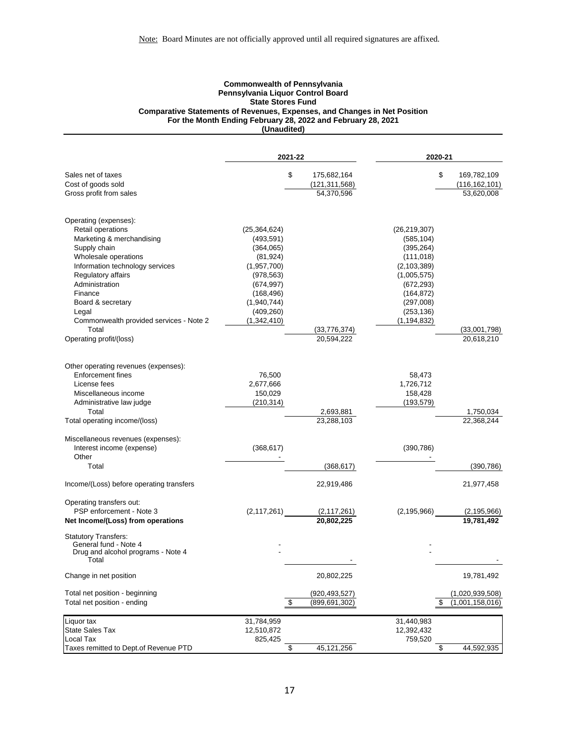### **Commonwealth of Pennsylvania Pennsylvania Liquor Control Board State Stores Fund Comparative Statements of Revenues, Expenses, and Changes in Net Position For the Month Ending February 28, 2022 and February 28, 2021 (Unaudited)**

|                                                                 |                          | 2021-22                                    |                          | 2020-21               |  |  |
|-----------------------------------------------------------------|--------------------------|--------------------------------------------|--------------------------|-----------------------|--|--|
| Sales net of taxes                                              |                          | \$<br>175,682,164                          |                          | \$<br>169,782,109     |  |  |
| Cost of goods sold                                              |                          | (121, 311, 568)                            |                          | (116, 162, 101)       |  |  |
| Gross profit from sales                                         |                          | 54,370,596                                 |                          | 53,620,008            |  |  |
| Operating (expenses):                                           |                          |                                            |                          |                       |  |  |
| Retail operations                                               | (25, 364, 624)           |                                            | (26, 219, 307)           |                       |  |  |
| Marketing & merchandising                                       | (493, 591)               |                                            | (585, 104)               |                       |  |  |
| Supply chain                                                    | (364,065)                |                                            | (395, 264)               |                       |  |  |
| Wholesale operations                                            | (81, 924)                |                                            | (111, 018)               |                       |  |  |
| Information technology services                                 | (1,957,700)              |                                            | (2, 103, 389)            |                       |  |  |
| Regulatory affairs                                              | (978, 563)               |                                            | (1,005,575)              |                       |  |  |
| Administration                                                  | (674, 997)               |                                            | (672, 293)               |                       |  |  |
| Finance                                                         | (168, 496)               |                                            | (164, 872)               |                       |  |  |
| Board & secretary                                               | (1,940,744)              |                                            | (297,008)                |                       |  |  |
| Legal                                                           | (409, 260)               |                                            | (253, 136)               |                       |  |  |
| Commonwealth provided services - Note 2                         | (1,342,410)              |                                            | (1, 194, 832)            |                       |  |  |
| Total                                                           |                          | (33, 776, 374)                             |                          | (33,001,798)          |  |  |
| Operating profit/(loss)                                         |                          | 20,594,222                                 |                          | 20,618,210            |  |  |
|                                                                 |                          |                                            |                          |                       |  |  |
| Other operating revenues (expenses):                            |                          |                                            |                          |                       |  |  |
| <b>Enforcement fines</b>                                        | 76,500                   |                                            | 58,473                   |                       |  |  |
| License fees                                                    | 2,677,666                |                                            | 1,726,712                |                       |  |  |
| Miscellaneous income                                            | 150,029                  |                                            | 158,428                  |                       |  |  |
| Administrative law judge                                        | (210, 314)               |                                            | (193, 579)               |                       |  |  |
| Total                                                           |                          | 2,693,881                                  |                          | 1,750,034             |  |  |
| Total operating income/(loss)                                   |                          | 23,288,103                                 |                          | 22,368,244            |  |  |
| Miscellaneous revenues (expenses):<br>Interest income (expense) | (368, 617)               |                                            | (390, 786)               |                       |  |  |
| Other                                                           |                          |                                            |                          |                       |  |  |
| Total                                                           |                          |                                            |                          |                       |  |  |
|                                                                 |                          | (368, 617)                                 |                          | (390, 786)            |  |  |
| Income/(Loss) before operating transfers                        |                          | 22,919,486                                 |                          | 21,977,458            |  |  |
| Operating transfers out:<br>PSP enforcement - Note 3            | (2, 117, 261)            | (2, 117, 261)                              | (2, 195, 966)            | (2, 195, 966)         |  |  |
| Net Income/(Loss) from operations                               |                          | 20,802,225                                 |                          | 19.781.492            |  |  |
| <b>Statutory Transfers:</b><br>General fund - Note 4            |                          |                                            |                          |                       |  |  |
| Drug and alcohol programs - Note 4                              |                          |                                            |                          |                       |  |  |
| Total                                                           |                          |                                            |                          |                       |  |  |
| Change in net position                                          |                          | 20,802,225                                 |                          | 19,781,492            |  |  |
| Total net position - beginning                                  |                          | (920, 493, 527)                            |                          | (1,020,939,508)       |  |  |
| Total net position - ending                                     |                          | $\sqrt[6]{\frac{2}{5}}$<br>(899, 691, 302) |                          | (1,001,158,016)<br>\$ |  |  |
| Liquor tax<br><b>State Sales Tax</b>                            | 31,784,959<br>12,510,872 |                                            | 31,440,983<br>12,392,432 |                       |  |  |
| Local Tax                                                       | 825,425                  |                                            | 759,520                  |                       |  |  |
| Taxes remitted to Dept.of Revenue PTD                           |                          | \$<br>45, 121, 256                         |                          | \$<br>44,592,935      |  |  |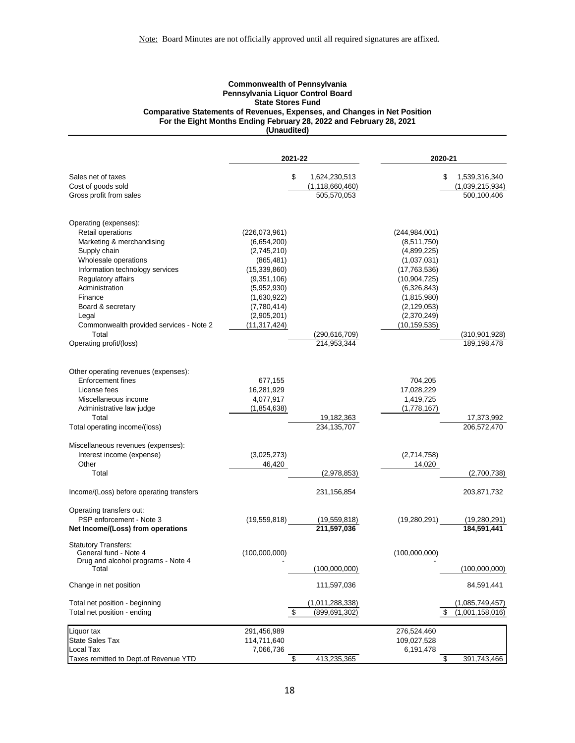### **Commonwealth of Pennsylvania Pennsylvania Liquor Control Board State Stores Fund Comparative Statements of Revenues, Expenses, and Changes in Net Position For the Eight Months Ending February 28, 2022 and February 28, 2021 (Unaudited)**

|                                                         |                               | 2021-22            | 2020-21                        |                       |  |
|---------------------------------------------------------|-------------------------------|--------------------|--------------------------------|-----------------------|--|
| Sales net of taxes                                      | \$                            | 1,624,230,513      |                                | \$<br>1,539,316,340   |  |
| Cost of goods sold                                      |                               | (1, 118, 660, 460) |                                | (1,039,215,934)       |  |
| Gross profit from sales                                 |                               | 505,570,053        |                                | 500,100,406           |  |
| Operating (expenses):                                   |                               |                    |                                |                       |  |
| Retail operations                                       | (226,073,961)                 |                    | (244, 984, 001)                |                       |  |
| Marketing & merchandising                               | (6,654,200)                   |                    | (8,511,750)                    |                       |  |
| Supply chain                                            | (2,745,210)                   |                    | (4,899,225)                    |                       |  |
| Wholesale operations<br>Information technology services | (865, 481)                    |                    | (1,037,031)                    |                       |  |
| Regulatory affairs                                      | (15, 339, 860)<br>(9,351,106) |                    | (17,763,536)<br>(10, 904, 725) |                       |  |
| Administration                                          | (5,952,930)                   |                    | (6,326,843)                    |                       |  |
| Finance                                                 | (1,630,922)                   |                    | (1,815,980)                    |                       |  |
| Board & secretary                                       | (7,780,414)                   |                    | (2, 129, 053)                  |                       |  |
| Legal                                                   | (2,905,201)                   |                    | (2,370,249)                    |                       |  |
| Commonwealth provided services - Note 2                 | (11,317,424)                  |                    | (10,159,535)                   |                       |  |
| Total                                                   |                               | (290, 616, 709)    |                                | (310, 901, 928)       |  |
| Operating profit/(loss)                                 |                               | 214,953,344        |                                | 189,198,478           |  |
|                                                         |                               |                    |                                |                       |  |
| Other operating revenues (expenses):                    |                               |                    |                                |                       |  |
| <b>Enforcement fines</b><br>License fees                | 677,155                       |                    | 704,205                        |                       |  |
|                                                         | 16,281,929<br>4,077,917       |                    | 17,028,229<br>1,419,725        |                       |  |
| Miscellaneous income<br>Administrative law judge        | (1,854,638)                   |                    | (1,778,167)                    |                       |  |
| Total                                                   |                               | 19,182,363         |                                | 17,373,992            |  |
| Total operating income/(loss)                           |                               | 234,135,707        |                                | 206,572,470           |  |
| Miscellaneous revenues (expenses):                      |                               |                    |                                |                       |  |
| Interest income (expense)                               | (3,025,273)                   |                    | (2,714,758)                    |                       |  |
| Other                                                   | 46,420                        |                    | 14,020                         |                       |  |
| Total                                                   |                               | (2,978,853)        |                                | (2,700,738)           |  |
| Income/(Loss) before operating transfers                |                               | 231, 156, 854      |                                | 203,871,732           |  |
| Operating transfers out:<br>PSP enforcement - Note 3    | (19,559,818)                  | (19,559,818)       | (19, 280, 291)                 | (19, 280, 291)        |  |
| Net Income/(Loss) from operations                       |                               | 211,597,036        |                                | 184,591,441           |  |
| <b>Statutory Transfers:</b><br>General fund - Note 4    | (100,000,000)                 |                    | (100,000,000)                  |                       |  |
| Drug and alcohol programs - Note 4                      |                               |                    |                                |                       |  |
| Total                                                   |                               | (100,000,000)      |                                | (100,000,000)         |  |
| Change in net position                                  |                               | 111,597,036        |                                | 84,591,441            |  |
| Total net position - beginning                          |                               | (1,011,288,338)    |                                | (1,085,749,457)       |  |
| Total net position - ending                             | \$                            | (899, 691, 302)    |                                | (1,001,158,016)<br>\$ |  |
| Liquor tax                                              | 291,456,989                   |                    | 276,524,460                    |                       |  |
| <b>State Sales Tax</b>                                  | 114,711,640                   |                    | 109,027,528                    |                       |  |
| Local Tax                                               | 7,066,736                     |                    | 6,191,478                      |                       |  |
| Taxes remitted to Dept.of Revenue YTD                   | \$                            | 413,235,365        |                                | 391,743,466<br>\$     |  |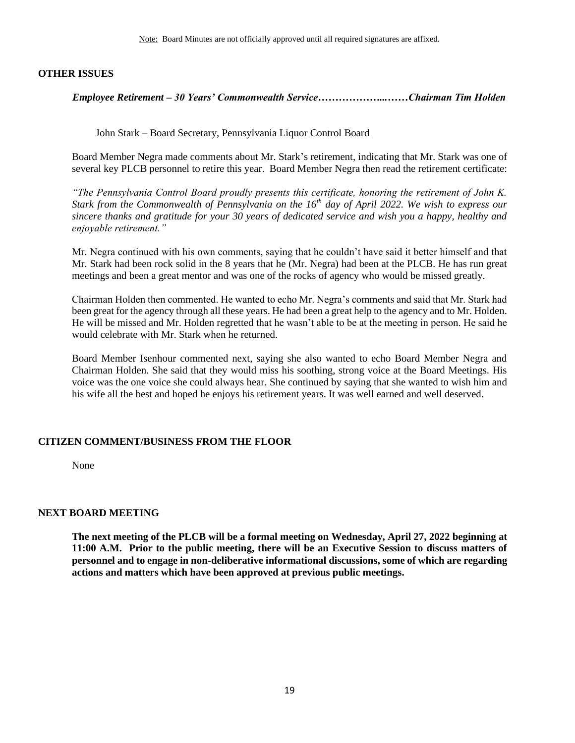### <span id="page-18-0"></span>**OTHER ISSUES**

*Employee Retirement – 30 Years' Commonwealth Service………………...……Chairman Tim Holden*

John Stark – Board Secretary, Pennsylvania Liquor Control Board

Board Member Negra made comments about Mr. Stark's retirement, indicating that Mr. Stark was one of several key PLCB personnel to retire this year. Board Member Negra then read the retirement certificate:

*"The Pennsylvania Control Board proudly presents this certificate, honoring the retirement of John K. Stark from the Commonwealth of Pennsylvania on the 16th day of April 2022. We wish to express our sincere thanks and gratitude for your 30 years of dedicated service and wish you a happy, healthy and enjoyable retirement."*

Mr. Negra continued with his own comments, saying that he couldn't have said it better himself and that Mr. Stark had been rock solid in the 8 years that he (Mr. Negra) had been at the PLCB. He has run great meetings and been a great mentor and was one of the rocks of agency who would be missed greatly.

Chairman Holden then commented. He wanted to echo Mr. Negra's comments and said that Mr. Stark had been great for the agency through all these years. He had been a great help to the agency and to Mr. Holden. He will be missed and Mr. Holden regretted that he wasn't able to be at the meeting in person. He said he would celebrate with Mr. Stark when he returned.

Board Member Isenhour commented next, saying she also wanted to echo Board Member Negra and Chairman Holden. She said that they would miss his soothing, strong voice at the Board Meetings. His voice was the one voice she could always hear. She continued by saying that she wanted to wish him and his wife all the best and hoped he enjoys his retirement years. It was well earned and well deserved.

## **CITIZEN COMMENT/BUSINESS FROM THE FLOOR**

None

## **NEXT BOARD MEETING**

**The next meeting of the PLCB will be a formal meeting on Wednesday, April 27, 2022 beginning at 11:00 A.M. Prior to the public meeting, there will be an Executive Session to discuss matters of personnel and to engage in non-deliberative informational discussions, some of which are regarding actions and matters which have been approved at previous public meetings.**